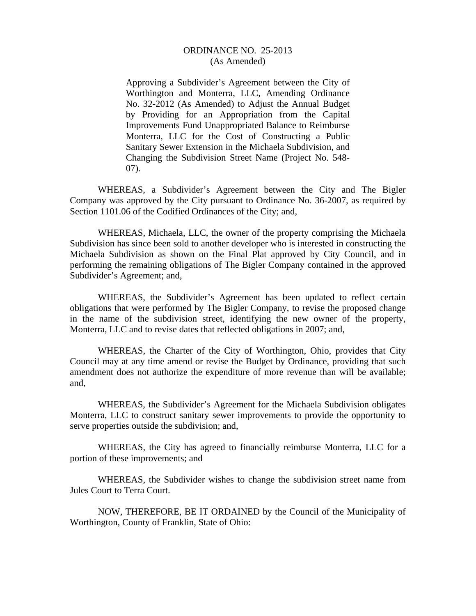## ORDINANCE NO. 25-2013 (As Amended)

Approving a Subdivider's Agreement between the City of Worthington and Monterra, LLC, Amending Ordinance No. 32-2012 (As Amended) to Adjust the Annual Budget by Providing for an Appropriation from the Capital Improvements Fund Unappropriated Balance to Reimburse Monterra, LLC for the Cost of Constructing a Public Sanitary Sewer Extension in the Michaela Subdivision, and Changing the Subdivision Street Name (Project No. 548- 07).

 WHEREAS, a Subdivider's Agreement between the City and The Bigler Company was approved by the City pursuant to Ordinance No. 36-2007, as required by Section 1101.06 of the Codified Ordinances of the City; and,

 WHEREAS, Michaela, LLC, the owner of the property comprising the Michaela Subdivision has since been sold to another developer who is interested in constructing the Michaela Subdivision as shown on the Final Plat approved by City Council, and in performing the remaining obligations of The Bigler Company contained in the approved Subdivider's Agreement; and,

 WHEREAS, the Subdivider's Agreement has been updated to reflect certain obligations that were performed by The Bigler Company, to revise the proposed change in the name of the subdivision street, identifying the new owner of the property, Monterra, LLC and to revise dates that reflected obligations in 2007; and,

 WHEREAS, the Charter of the City of Worthington, Ohio, provides that City Council may at any time amend or revise the Budget by Ordinance, providing that such amendment does not authorize the expenditure of more revenue than will be available; and,

 WHEREAS, the Subdivider's Agreement for the Michaela Subdivision obligates Monterra, LLC to construct sanitary sewer improvements to provide the opportunity to serve properties outside the subdivision; and,

 WHEREAS, the City has agreed to financially reimburse Monterra, LLC for a portion of these improvements; and

 WHEREAS, the Subdivider wishes to change the subdivision street name from Jules Court to Terra Court.

 NOW, THEREFORE, BE IT ORDAINED by the Council of the Municipality of Worthington, County of Franklin, State of Ohio: